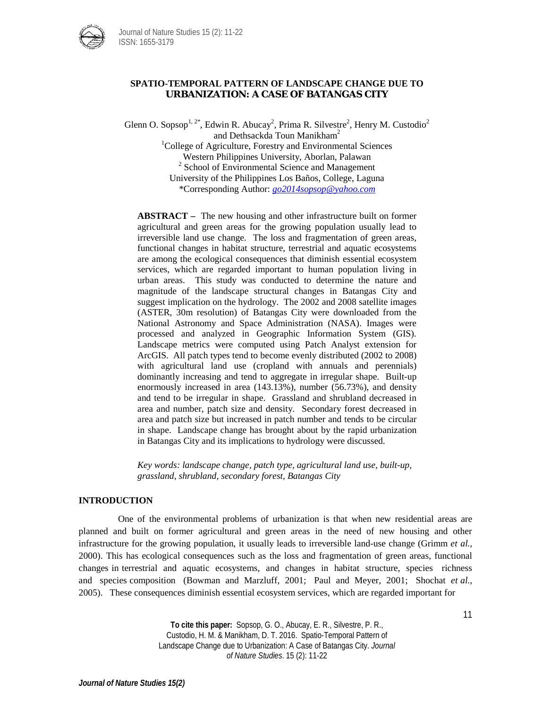

# **SPATIO-TEMPORAL PATTERN OF LANDSCAPE CHANGE DUE TO URBANIZATION: A CASE OF BATANGAS CITY**

Glenn O. Sopsop<sup>1, 2\*</sup>, Edwin R. Abucay<sup>2</sup>, Prima R. Silvestre<sup>2</sup>, Henry M. Custodio<sup>2</sup> and Dethsackda Toun Manikham<sup>2</sup> <sup>1</sup>College of Agriculture, Forestry and Environmental Sciences

Western Philippines University, Aborlan, Palawan  $2$  School of Environmental Science and Management University of the Philippines Los Baños, College, Laguna \*Corresponding Author: *[go2014sopsop@yahoo.com](mailto:go2014sopsop@yahoo.com)*

**ABSTRACT –** The new housing and other infrastructure built on former agricultural and green areas for the growing population usually lead to irreversible land use change. The loss and fragmentation of green areas, functional changes in habitat structure, terrestrial and aquatic ecosystems are among the ecological consequences that diminish essential ecosystem services, which are regarded important to human population living in urban areas. This study was conducted to determine the nature and magnitude of the landscape structural changes in Batangas City and suggest implication on the hydrology. The 2002 and 2008 satellite images (ASTER, 30m resolution) of Batangas City were downloaded from the National Astronomy and Space Administration (NASA). Images were processed and analyzed in Geographic Information System (GIS). Landscape metrics were computed using Patch Analyst extension for ArcGIS. All patch types tend to become evenly distributed (2002 to 2008) with agricultural land use (cropland with annuals and perennials) dominantly increasing and tend to aggregate in irregular shape. Built-up enormously increased in area (143.13%), number (56.73%), and density and tend to be irregular in shape. Grassland and shrubland decreased in area and number, patch size and density. Secondary forest decreased in area and patch size but increased in patch number and tends to be circular in shape. Landscape change has brought about by the rapid urbanization in Batangas City and its implications to hydrology were discussed.

*Key words: landscape change, patch type, agricultural land use, built-up, grassland, shrubland, secondary forest, Batangas City*

# **INTRODUCTION**

One of the environmental problems of urbanization is that when new residential areas are planned and built on former agricultural and green areas in the need of new housing and other infrastructure for the growing population, it usually leads to irreversible land-use change (Grimm *et al.*, 2000). This has ecological consequences such as the loss and fragmentation of green areas, functional changes in terrestrial and aquatic ecosystems, and changes in habitat structure, species richness and species composition (Bowman and Marzluff, 2001; Paul and Meyer, 2001; Shochat *et al.*, 2005). These consequences diminish essential ecosystem services, which are regarded important for

> **To cite this paper:** Sopsop, G. O., Abucay, E. R., Silvestre, P. R., Custodio, H. M. & Manikham, D. T. 2016. Spatio-Temporal Pattern of Landscape Change due to Urbanization: A Case of Batangas City. *Journal of Nature Studies*. 15 (2): 11-22

11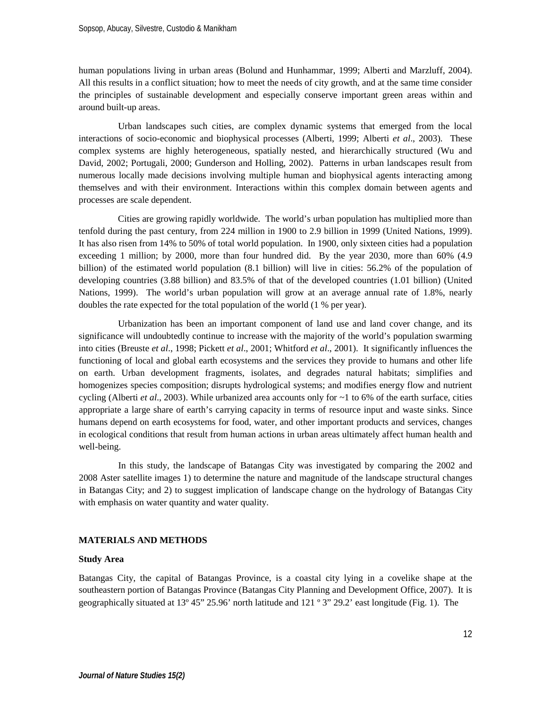human populations living in urban areas (Bolund and Hunhammar, 1999; Alberti and Marzluff, 2004). All this results in a conflict situation; how to meet the needs of city growth, and at the same time consider the principles of sustainable development and especially conserve important green areas within and around built-up areas.

Urban landscapes such cities, are complex dynamic systems that emerged from the local interactions of socio-economic and biophysical processes (Alberti, 1999; Alberti *et al*., 2003). These complex systems are highly heterogeneous, spatially nested, and hierarchically structured (Wu and David, 2002; Portugali, 2000; Gunderson and Holling, 2002). Patterns in urban landscapes result from numerous locally made decisions involving multiple human and biophysical agents interacting among themselves and with their environment. Interactions within this complex domain between agents and processes are scale dependent.

Cities are growing rapidly worldwide. The world's urban population has multiplied more than tenfold during the past century, from 224 million in 1900 to 2.9 billion in 1999 (United Nations, 1999). It has also risen from 14% to 50% of total world population. In 1900, only sixteen cities had a population exceeding 1 million; by 2000, more than four hundred did. By the year 2030, more than 60% (4.9 billion) of the estimated world population (8.1 billion) will live in cities: 56.2% of the population of developing countries (3.88 billion) and 83.5% of that of the developed countries (1.01 billion) (United Nations, 1999). The world's urban population will grow at an average annual rate of 1.8%, nearly doubles the rate expected for the total population of the world (1 % per year).

Urbanization has been an important component of land use and land cover change, and its significance will undoubtedly continue to increase with the majority of the world's population swarming into cities (Breuste *et al*., 1998; Pickett *et al*., 2001; Whitford *et al*., 2001). It significantly influences the functioning of local and global earth ecosystems and the services they provide to humans and other life on earth. Urban development fragments, isolates, and degrades natural habitats; simplifies and homogenizes species composition; disrupts hydrological systems; and modifies energy flow and nutrient cycling (Alberti *et al*., 2003). While urbanized area accounts only for ~1 to 6% of the earth surface, cities appropriate a large share of earth's carrying capacity in terms of resource input and waste sinks. Since humans depend on earth ecosystems for food, water, and other important products and services, changes in ecological conditions that result from human actions in urban areas ultimately affect human health and well-being.

In this study, the landscape of Batangas City was investigated by comparing the 2002 and 2008 Aster satellite images 1) to determine the nature and magnitude of the landscape structural changes in Batangas City; and 2) to suggest implication of landscape change on the hydrology of Batangas City with emphasis on water quantity and water quality.

#### **MATERIALS AND METHODS**

#### **Study Area**

Batangas City, the capital of Batangas Province, is a coastal city lying in a covelike shape at the southeastern portion of Batangas Province (Batangas City Planning and Development Office, 2007). It is geographically situated at 13º 45" 25.96' north latitude and 121 º 3" 29.2' east longitude (Fig. 1). The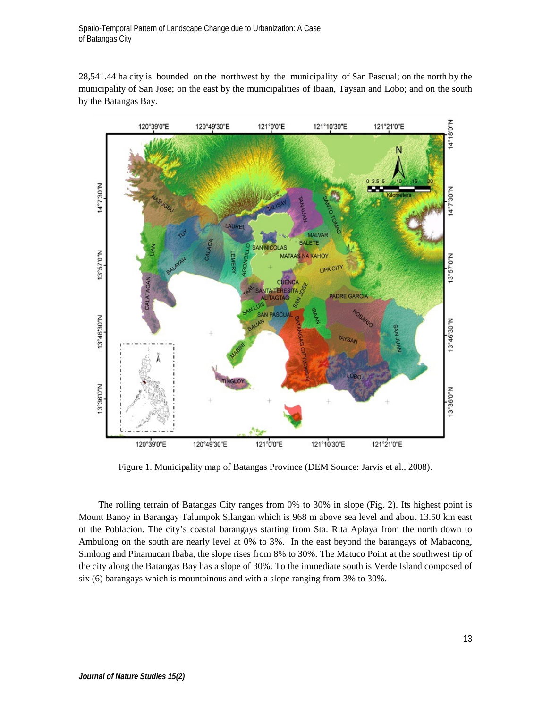28,541.44 ha city is bounded on the northwest by the municipality of San Pascual; on the north by the municipality of San Jose; on the east by the municipalities of Ibaan, Taysan and Lobo; and on the south by the Batangas Bay.



Figure 1. Municipality map of Batangas Province (DEM Source: Jarvis et al., 2008).

The rolling terrain of Batangas City ranges from 0% to 30% in slope (Fig. 2). Its highest point is Mount Banoy in Barangay Talumpok Silangan which is 968 m above sea level and about 13.50 km east of the Poblacion. The city's coastal barangays starting from Sta. Rita Aplaya from the north down to Ambulong on the south are nearly level at 0% to 3%. In the east beyond the barangays of Mabacong, Simlong and Pinamucan Ibaba, the slope rises from 8% to 30%. The Matuco Point at the southwest tip of the city along the Batangas Bay has a slope of 30%. To the immediate south is Verde Island composed of six (6) barangays which is mountainous and with a slope ranging from 3% to 30%.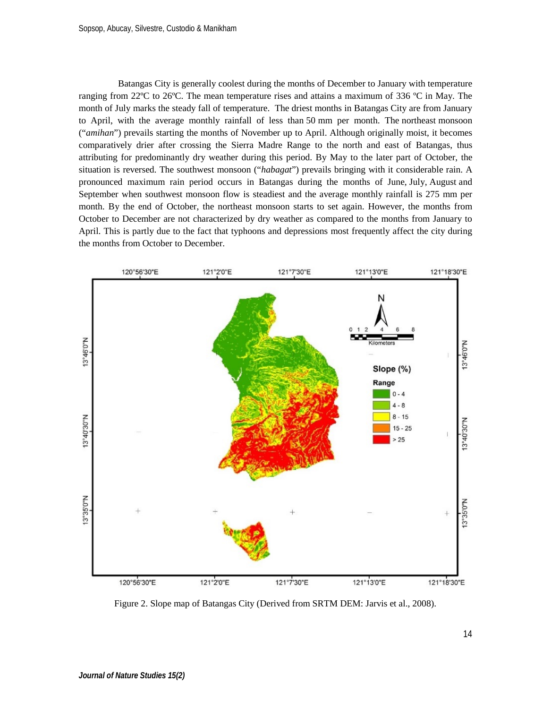Batangas City is generally coolest during the months of December to January with temperature ranging from 22ºC to 26ºC. The mean temperature rises and attains a maximum of 336 ºC in May. The month of July marks the steady fall of temperature. The driest months in Batangas City are from January to April, with the average monthly rainfall of less than 50 mm per month. The northeast monsoon ("*amihan*") prevails starting the months of November up to April. Although originally moist, it becomes comparatively drier after crossing the Sierra Madre Range to the north and east of Batangas, thus attributing for predominantly dry weather during this period. By May to the later part of October, the situation is reversed. The southwest monsoon ("*habagat*") prevails bringing with it considerable rain. A pronounced maximum rain period occurs in Batangas during the months of June, July, August and September when southwest monsoon flow is steadiest and the average monthly rainfall is 275 mm per month. By the end of October, the northeast monsoon starts to set again. However, the months from October to December are not characterized by dry weather as compared to the months from January to April. This is partly due to the fact that typhoons and depressions most frequently affect the city during the months from October to December.



Figure 2. Slope map of Batangas City (Derived from SRTM DEM: Jarvis et al., 2008).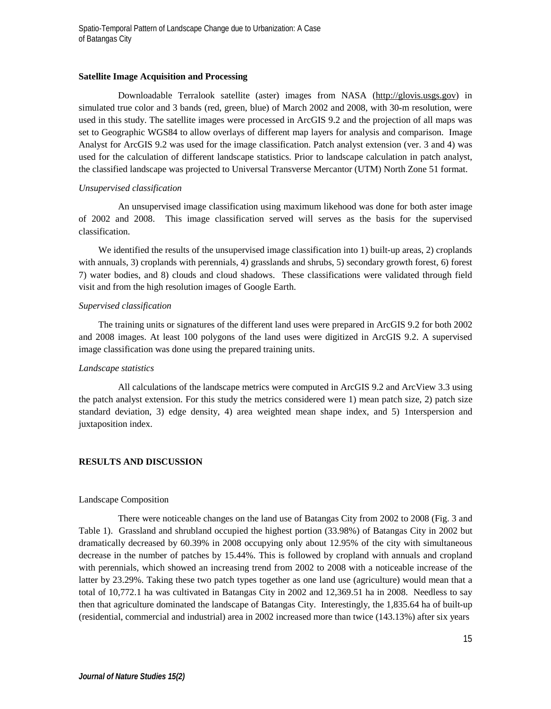#### **Satellite Image Acquisition and Processing**

Downloadable Terralook satellite (aster) images from NASA [\(http://glovis.usgs.gov\)](http://glovis.usgs.gov/) in simulated true color and 3 bands (red, green, blue) of March 2002 and 2008, with 30-m resolution, were used in this study. The satellite images were processed in ArcGIS 9.2 and the projection of all maps was set to Geographic WGS84 to allow overlays of different map layers for analysis and comparison. Image Analyst for ArcGIS 9.2 was used for the image classification. Patch analyst extension (ver. 3 and 4) was used for the calculation of different landscape statistics. Prior to landscape calculation in patch analyst, the classified landscape was projected to Universal Transverse Mercantor (UTM) North Zone 51 format.

## *Unsupervised classification*

An unsupervised image classification using maximum likehood was done for both aster image of 2002 and 2008. This image classification served will serves as the basis for the supervised classification.

We identified the results of the unsupervised image classification into 1) built-up areas, 2) croplands with annuals, 3) croplands with perennials, 4) grasslands and shrubs, 5) secondary growth forest, 6) forest 7) water bodies, and 8) clouds and cloud shadows. These classifications were validated through field visit and from the high resolution images of Google Earth.

## *Supervised classification*

The training units or signatures of the different land uses were prepared in ArcGIS 9.2 for both 2002 and 2008 images. At least 100 polygons of the land uses were digitized in ArcGIS 9.2. A supervised image classification was done using the prepared training units.

## *Landscape statistics*

All calculations of the landscape metrics were computed in ArcGIS 9.2 and ArcView 3.3 using the patch analyst extension. For this study the metrics considered were 1) mean patch size, 2) patch size standard deviation, 3) edge density, 4) area weighted mean shape index, and 5) 1nterspersion and juxtaposition index.

## **RESULTS AND DISCUSSION**

#### Landscape Composition

There were noticeable changes on the land use of Batangas City from 2002 to 2008 (Fig. 3 and Table 1). Grassland and shrubland occupied the highest portion (33.98%) of Batangas City in 2002 but dramatically decreased by 60.39% in 2008 occupying only about 12.95% of the city with simultaneous decrease in the number of patches by 15.44%. This is followed by cropland with annuals and cropland with perennials, which showed an increasing trend from 2002 to 2008 with a noticeable increase of the latter by 23.29%. Taking these two patch types together as one land use (agriculture) would mean that a total of 10,772.1 ha was cultivated in Batangas City in 2002 and 12,369.51 ha in 2008. Needless to say then that agriculture dominated the landscape of Batangas City. Interestingly, the 1,835.64 ha of built-up (residential, commercial and industrial) area in 2002 increased more than twice (143.13%) after six years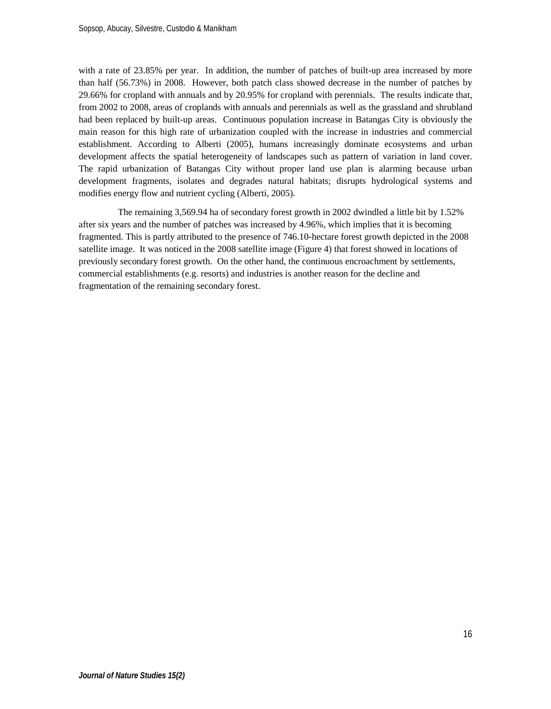with a rate of 23.85% per year. In addition, the number of patches of built-up area increased by more than half (56.73%) in 2008. However, both patch class showed decrease in the number of patches by 29.66% for cropland with annuals and by 20.95% for cropland with perennials. The results indicate that, from 2002 to 2008, areas of croplands with annuals and perennials as well as the grassland and shrubland had been replaced by built-up areas. Continuous population increase in Batangas City is obviously the main reason for this high rate of urbanization coupled with the increase in industries and commercial establishment. According to Alberti (2005), humans increasingly dominate ecosystems and urban development affects the spatial heterogeneity of landscapes such as pattern of variation in land cover. The rapid urbanization of Batangas City without proper land use plan is alarming because urban development fragments, isolates and degrades natural habitats; disrupts hydrological systems and modifies energy flow and nutrient cycling (Alberti, 2005).

The remaining 3,569.94 ha of secondary forest growth in 2002 dwindled a little bit by 1.52% after six years and the number of patches was increased by 4.96%, which implies that it is becoming fragmented. This is partly attributed to the presence of 746.10-hectare forest growth depicted in the 2008 satellite image. It was noticed in the 2008 satellite image (Figure 4) that forest showed in locations of previously secondary forest growth. On the other hand, the continuous encroachment by settlements, commercial establishments (e.g. resorts) and industries is another reason for the decline and fragmentation of the remaining secondary forest.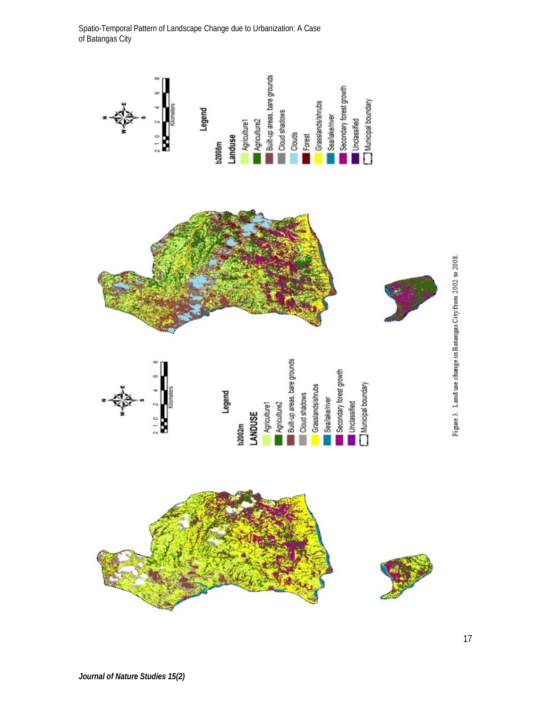

Figure 3. Land use change in Batangas City from 2002 to 2008.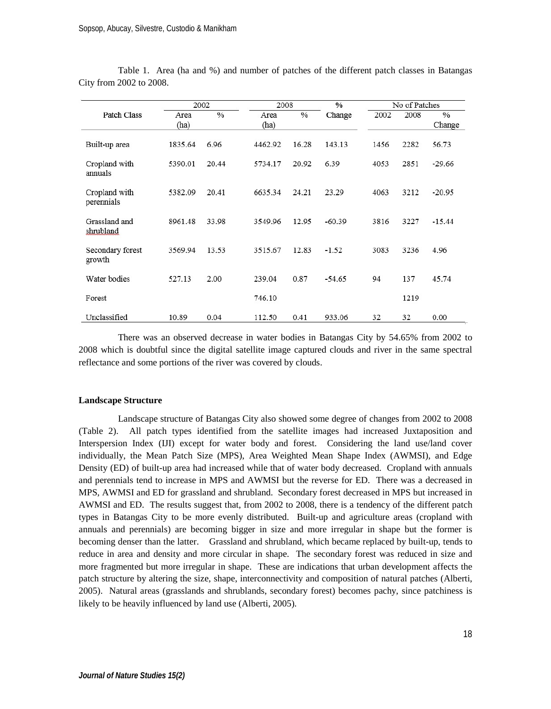|                             | 2002         |               | 2008         |       | $\%$     | No of Patches |      |                         |
|-----------------------------|--------------|---------------|--------------|-------|----------|---------------|------|-------------------------|
| <b>Patch Class</b>          | Area<br>(ha) | $\frac{0}{0}$ | Area<br>(ha) | $\%$  | Change   | 2002          | 2008 | $\frac{0}{0}$<br>Change |
| Built up area               | 1835.64      | 6.96          | 4462.92      | 16.28 | 143.13   | 1456          | 2282 | 56.73                   |
| Cropland with<br>annuals    | 5390.01      | 20.44         | 5734.17      | 20.92 | 6.39     | 4053          | 2851 | $-29.66$                |
| Cropland with<br>perennials | 5382.09      | 20.41         | 6635.34      | 24.21 | 23.29    | 4063          | 3212 | $-20.95$                |
| Grassland and<br>shrubland  | 8961.48      | 33.98         | 3549.96      | 12.95 | $-60.39$ | 3816          | 3227 | $-15.44$                |
| Secondary forest<br>growth  | 3569.94      | 13.53         | 3515.67      | 12.83 | $-1.52$  | 3083          | 3236 | 4.96                    |
| Water bodies                | 527.13       | 2.00          | 239.04       | 0.87  | $-54.65$ | 94            | 137  | 45.74                   |
| Forest                      |              |               | 746.10       |       |          |               | 1219 |                         |
| Unclassified                | 10.89        | 0.04          | 112.50       | 0.41  | 933.06   | 32            | 32   | 0.00                    |

Table 1. Area (ha and %) and number of patches of the different patch classes in Batangas City from 2002 to 2008.

There was an observed decrease in water bodies in Batangas City by 54.65% from 2002 to 2008 which is doubtful since the digital satellite image captured clouds and river in the same spectral reflectance and some portions of the river was covered by clouds.

#### **Landscape Structure**

Landscape structure of Batangas City also showed some degree of changes from 2002 to 2008 (Table 2). All patch types identified from the satellite images had increased Juxtaposition and Interspersion Index (IJI) except for water body and forest. Considering the land use/land cover individually, the Mean Patch Size (MPS), Area Weighted Mean Shape Index (AWMSI), and Edge Density (ED) of built-up area had increased while that of water body decreased. Cropland with annuals and perennials tend to increase in MPS and AWMSI but the reverse for ED. There was a decreased in MPS, AWMSI and ED for grassland and shrubland. Secondary forest decreased in MPS but increased in AWMSI and ED. The results suggest that, from 2002 to 2008, there is a tendency of the different patch types in Batangas City to be more evenly distributed. Built-up and agriculture areas (cropland with annuals and perennials) are becoming bigger in size and more irregular in shape but the former is becoming denser than the latter. Grassland and shrubland, which became replaced by built-up, tends to reduce in area and density and more circular in shape. The secondary forest was reduced in size and more fragmented but more irregular in shape. These are indications that urban development affects the patch structure by altering the size, shape, interconnectivity and composition of natural patches (Alberti, 2005). Natural areas (grasslands and shrublands, secondary forest) becomes pachy, since patchiness is likely to be heavily influenced by land use (Alberti, 2005).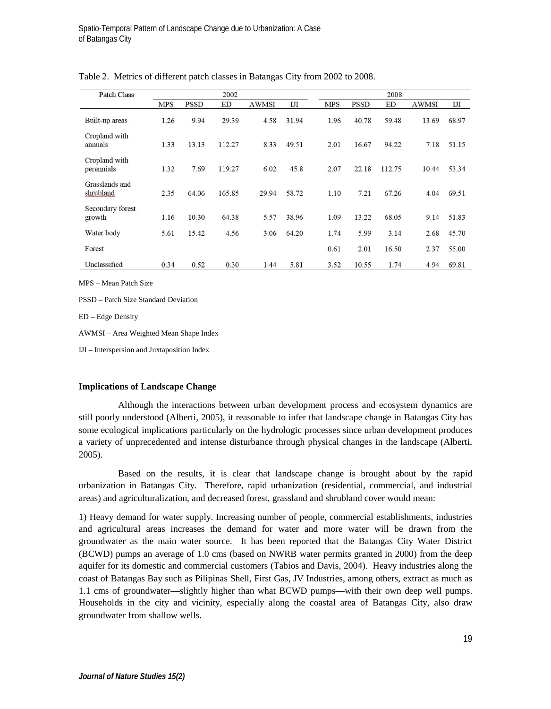| <b>Patch Class</b>          | 2002 |             |        |              |       | 2008       |             |        |              |       |
|-----------------------------|------|-------------|--------|--------------|-------|------------|-------------|--------|--------------|-------|
|                             | MPS  | <b>PSSD</b> | ED     | <b>AWMSI</b> | IJІ   | <b>MPS</b> | <b>PSSD</b> | ED     | <b>AWMSI</b> | IJІ   |
| Built-up areas              | 1.26 | 9.94        | 29.39  | 4.58         | 31.94 | 1.96       | 40.78       | 59.48  | 13.69        | 68.97 |
| Cropland with<br>annuals    | 1.33 | 13.13       | 112.27 | 8.33         | 49.51 | 2.01       | 16.67       | 94.22  | 7.18         | 51.15 |
| Cropland with<br>perennials | 1.32 | 7.69        | 119.27 | 6.02         | 45.8  | 2.07       | 22.18       | 112.75 | 10.44        | 53.34 |
| Grasslands and<br>shrubland | 2.35 | 64.06       | 165.85 | 29.94        | 58.72 | 1.10       | 7.21        | 67.26  | 4.04         | 69.51 |
| Secondary forest<br>growth  | 1.16 | 10.30       | 64.38  | 5.57         | 38.96 | 1.09       | 13.22       | 68.05  | 9.14         | 51.83 |
| Water body                  | 5.61 | 15.42       | 4.56   | 3.06         | 64.20 | 1.74       | 5.99        | 3.14   | 2.68         | 45.70 |
| Forest                      |      |             |        |              |       | 0.61       | 2.01        | 16.50  | 2.37         | 55.00 |
| Unclassified                | 0.34 | 0.52        | 0.30   | 1.44         | 5.81  | 3.52       | 10.55       | 1.74   | 4.94         | 69.81 |

Table 2. Metrics of different patch classes in Batangas City from 2002 to 2008.

MPS – Mean Patch Size

PSSD – Patch Size Standard Deviation

ED – Edge Density

AWMSI – Area Weighted Mean Shape Index

IJI – Interspersion and Juxtaposition Index

## **Implications of Landscape Change**

Although the interactions between urban development process and ecosystem dynamics are still poorly understood (Alberti, 2005), it reasonable to infer that landscape change in Batangas City has some ecological implications particularly on the hydrologic processes since urban development produces a variety of unprecedented and intense disturbance through physical changes in the landscape (Alberti, 2005).

Based on the results, it is clear that landscape change is brought about by the rapid urbanization in Batangas City. Therefore, rapid urbanization (residential, commercial, and industrial areas) and agriculturalization, and decreased forest, grassland and shrubland cover would mean:

1) Heavy demand for water supply. Increasing number of people, commercial establishments, industries and agricultural areas increases the demand for water and more water will be drawn from the groundwater as the main water source. It has been reported that the Batangas City Water District (BCWD) pumps an average of 1.0 cms (based on NWRB water permits granted in 2000) from the deep aquifer for its domestic and commercial customers (Tabios and Davis, 2004). Heavy industries along the coast of Batangas Bay such as Pilipinas Shell, First Gas, JV Industries, among others, extract as much as 1.1 cms of groundwater—slightly higher than what BCWD pumps—with their own deep well pumps. Households in the city and vicinity, especially along the coastal area of Batangas City, also draw groundwater from shallow wells.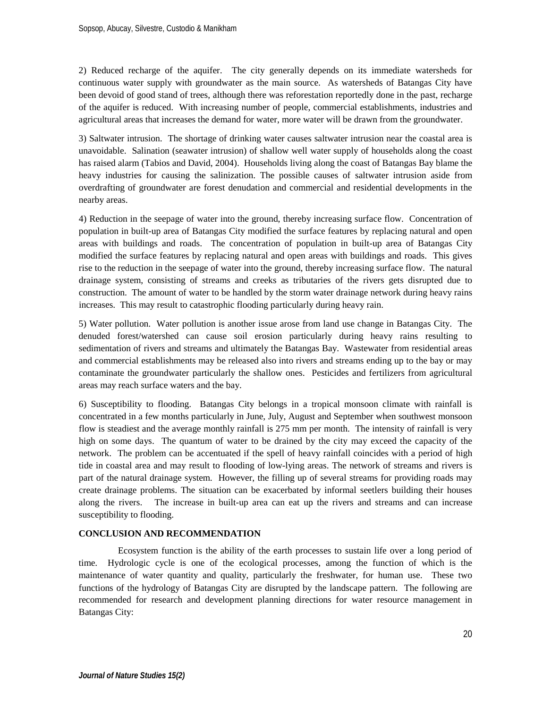2) Reduced recharge of the aquifer. The city generally depends on its immediate watersheds for continuous water supply with groundwater as the main source. As watersheds of Batangas City have been devoid of good stand of trees, although there was reforestation reportedly done in the past, recharge of the aquifer is reduced. With increasing number of people, commercial establishments, industries and agricultural areas that increases the demand for water, more water will be drawn from the groundwater.

3) Saltwater intrusion. The shortage of drinking water causes saltwater intrusion near the coastal area is unavoidable. Salination (seawater intrusion) of shallow well water supply of households along the coast has raised alarm (Tabios and David, 2004). Households living along the coast of Batangas Bay blame the heavy industries for causing the salinization. The possible causes of saltwater intrusion aside from overdrafting of groundwater are forest denudation and commercial and residential developments in the nearby areas.

4) Reduction in the seepage of water into the ground, thereby increasing surface flow. Concentration of population in built-up area of Batangas City modified the surface features by replacing natural and open areas with buildings and roads. The concentration of population in built-up area of Batangas City modified the surface features by replacing natural and open areas with buildings and roads. This gives rise to the reduction in the seepage of water into the ground, thereby increasing surface flow. The natural drainage system, consisting of streams and creeks as tributaries of the rivers gets disrupted due to construction. The amount of water to be handled by the storm water drainage network during heavy rains increases. This may result to catastrophic flooding particularly during heavy rain.

5) Water pollution. Water pollution is another issue arose from land use change in Batangas City. The denuded forest/watershed can cause soil erosion particularly during heavy rains resulting to sedimentation of rivers and streams and ultimately the Batangas Bay. Wastewater from residential areas and commercial establishments may be released also into rivers and streams ending up to the bay or may contaminate the groundwater particularly the shallow ones. Pesticides and fertilizers from agricultural areas may reach surface waters and the bay.

6) Susceptibility to flooding. Batangas City belongs in a tropical monsoon climate with rainfall is concentrated in a few months particularly in June, July, August and September when southwest monsoon flow is steadiest and the average monthly rainfall is 275 mm per month. The intensity of rainfall is very high on some days. The quantum of water to be drained by the city may exceed the capacity of the network. The problem can be accentuated if the spell of heavy rainfall coincides with a period of high tide in coastal area and may result to flooding of low-lying areas. The network of streams and rivers is part of the natural drainage system. However, the filling up of several streams for providing roads may create drainage problems. The situation can be exacerbated by informal seetlers building their houses along the rivers. The increase in built-up area can eat up the rivers and streams and can increase susceptibility to flooding.

## **CONCLUSION AND RECOMMENDATION**

Ecosystem function is the ability of the earth processes to sustain life over a long period of time. Hydrologic cycle is one of the ecological processes, among the function of which is the maintenance of water quantity and quality, particularly the freshwater, for human use. These two functions of the hydrology of Batangas City are disrupted by the landscape pattern. The following are recommended for research and development planning directions for water resource management in Batangas City: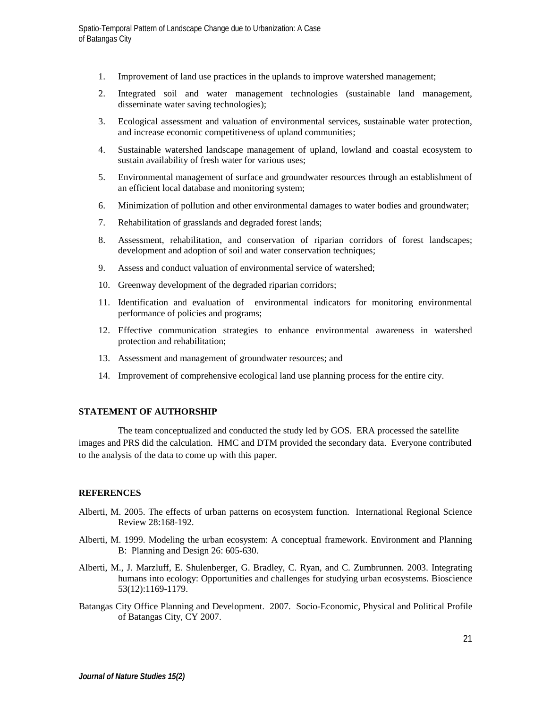- 1. Improvement of land use practices in the uplands to improve watershed management;
- 2. Integrated soil and water management technologies (sustainable land management, disseminate water saving technologies);
- 3. Ecological assessment and valuation of environmental services, sustainable water protection, and increase economic competitiveness of upland communities;
- 4. Sustainable watershed landscape management of upland, lowland and coastal ecosystem to sustain availability of fresh water for various uses;
- 5. Environmental management of surface and groundwater resources through an establishment of an efficient local database and monitoring system;
- 6. Minimization of pollution and other environmental damages to water bodies and groundwater;
- 7. Rehabilitation of grasslands and degraded forest lands;
- 8. Assessment, rehabilitation, and conservation of riparian corridors of forest landscapes; development and adoption of soil and water conservation techniques;
- 9. Assess and conduct valuation of environmental service of watershed;
- 10. Greenway development of the degraded riparian corridors;
- 11. Identification and evaluation of environmental indicators for monitoring environmental performance of policies and programs;
- 12. Effective communication strategies to enhance environmental awareness in watershed protection and rehabilitation;
- 13. Assessment and management of groundwater resources; and
- 14. Improvement of comprehensive ecological land use planning process for the entire city.

## **STATEMENT OF AUTHORSHIP**

The team conceptualized and conducted the study led by GOS. ERA processed the satellite images and PRS did the calculation. HMC and DTM provided the secondary data. Everyone contributed to the analysis of the data to come up with this paper.

## **REFERENCES**

- Alberti, M. 2005. The effects of urban patterns on ecosystem function. International Regional Science Review 28:168-192.
- Alberti, M. 1999. Modeling the urban ecosystem: A conceptual framework. Environment and Planning B: Planning and Design 26: 605-630.
- Alberti, M., J. Marzluff, E. Shulenberger, G. Bradley, C. Ryan, and C. Zumbrunnen. 2003. Integrating humans into ecology: Opportunities and challenges for studying urban ecosystems. Bioscience 53(12):1169-1179.
- Batangas City Office Planning and Development. 2007. Socio-Economic, Physical and Political Profile of Batangas City, CY 2007.